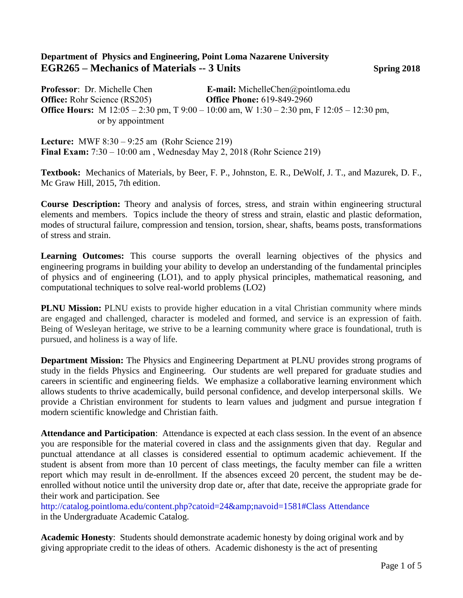## **Department of Physics and Engineering, Point Loma Nazarene University EGR265 – Mechanics of Materials -- 3 Units Spring 2018**

**Professor**: Dr. Michelle Chen **E-mail:** MichelleChen@pointloma.edu **Office:** Rohr Science (RS205) **Office Phone:** 619-849-2960 **Office Hours:** M 12:05 – 2:30 pm, T 9:00 – 10:00 am, W 1:30 – 2:30 pm, F 12:05 – 12:30 pm, or by appointment

**Lecture:** MWF 8:30 – 9:25 am (Rohr Science 219) **Final Exam:** 7:30 – 10:00 am , Wednesday May 2, 2018 (Rohr Science 219)

**Textbook:** Mechanics of Materials, by Beer, F. P., Johnston, E. R., DeWolf, J. T., and Mazurek, D. F., Mc Graw Hill, 2015, 7th edition.

**Course Description:** Theory and analysis of forces, stress, and strain within engineering structural elements and members. Topics include the theory of stress and strain, elastic and plastic deformation, modes of structural failure, compression and tension, torsion, shear, shafts, beams posts, transformations of stress and strain.

Learning Outcomes: This course supports the overall learning objectives of the physics and engineering programs in building your ability to develop an understanding of the fundamental principles of physics and of engineering (LO1), and to apply physical principles, mathematical reasoning, and computational techniques to solve real-world problems (LO2)

**PLNU Mission:** PLNU exists to provide higher education in a vital Christian community where minds are engaged and challenged, character is modeled and formed, and service is an expression of faith. Being of Wesleyan heritage, we strive to be a learning community where grace is foundational, truth is pursued, and holiness is a way of life.

**Department Mission:** The Physics and Engineering Department at PLNU provides strong programs of study in the fields Physics and Engineering. Our students are well prepared for graduate studies and careers in scientific and engineering fields. We emphasize a collaborative learning environment which allows students to thrive academically, build personal confidence, and develop interpersonal skills. We provide a Christian environment for students to learn values and judgment and pursue integration f modern scientific knowledge and Christian faith.

**Attendance and Participation**: Attendance is expected at each class session. In the event of an absence you are responsible for the material covered in class and the assignments given that day. Regular and punctual attendance at all classes is considered essential to optimum academic achievement. If the student is absent from more than 10 percent of class meetings, the faculty member can file a written report which may result in de-enrollment. If the absences exceed 20 percent, the student may be deenrolled without notice until the university drop date or, after that date, receive the appropriate grade for their work and participation. See

http://catalog.pointloma.edu/content.php?catoid=24&navoid=1581#Class Attendance in the Undergraduate Academic Catalog.

**Academic Honesty**: Students should demonstrate academic honesty by doing original work and by giving appropriate credit to the ideas of others. Academic dishonesty is the act of presenting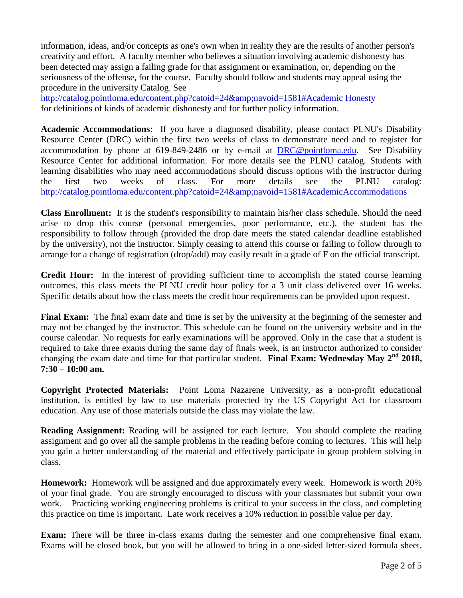information, ideas, and/or concepts as one's own when in reality they are the results of another person's creativity and effort. A faculty member who believes a situation involving academic dishonesty has been detected may assign a failing grade for that assignment or examination, or, depending on the seriousness of the offense, for the course. Faculty should follow and students may appeal using the procedure in the university Catalog. See

http://catalog.pointloma.edu/content.php?catoid=24&navoid=1581#Academic Honesty for definitions of kinds of academic dishonesty and for further policy information.

**Academic Accommodations**: If you have a diagnosed disability, please contact PLNU's Disability Resource Center (DRC) within the first two weeks of class to demonstrate need and to register for accommodation by phone at 619-849-2486 or by e-mail at [DRC@pointloma.edu.](mailto:DRC@pointloma.edu) See Disability Resource Center for additional information. For more details see the PLNU catalog. Students with learning disabilities who may need accommodations should discuss options with the instructor during the first two weeks of class. For more details see the PLNU catalog: http://catalog.pointloma.edu/content.php?catoid=24&navoid=1581#AcademicAccommodations

**Class Enrollment:** It is the student's responsibility to maintain his/her class schedule. Should the need arise to drop this course (personal emergencies, poor performance, etc.), the student has the responsibility to follow through (provided the drop date meets the stated calendar deadline established by the university), not the instructor. Simply ceasing to attend this course or failing to follow through to arrange for a change of registration (drop/add) may easily result in a grade of F on the official transcript.

**Credit Hour:** In the interest of providing sufficient time to accomplish the stated course learning outcomes, this class meets the PLNU credit hour policy for a 3 unit class delivered over 16 weeks. Specific details about how the class meets the credit hour requirements can be provided upon request.

**Final Exam:** The final exam date and time is set by the university at the beginning of the semester and may not be changed by the instructor. This schedule can be found on the university website and in the course calendar. No requests for early examinations will be approved. Only in the case that a student is required to take three exams during the same day of finals week, is an instructor authorized to consider changing the exam date and time for that particular student. Final Exam: Wednesday May 2<sup>nd</sup> 2018, **7:30 – 10:00 am.**

**Copyright Protected Materials:** Point Loma Nazarene University, as a non-profit educational institution, is entitled by law to use materials protected by the US Copyright Act for classroom education. Any use of those materials outside the class may violate the law.

**Reading Assignment:** Reading will be assigned for each lecture. You should complete the reading assignment and go over all the sample problems in the reading before coming to lectures. This will help you gain a better understanding of the material and effectively participate in group problem solving in class.

**Homework:** Homework will be assigned and due approximately every week. Homework is worth 20% of your final grade. You are strongly encouraged to discuss with your classmates but submit your own work. Practicing working engineering problems is critical to your success in the class, and completing this practice on time is important. Late work receives a 10% reduction in possible value per day.

**Exam:** There will be three in-class exams during the semester and one comprehensive final exam. Exams will be closed book, but you will be allowed to bring in a one-sided letter-sized formula sheet.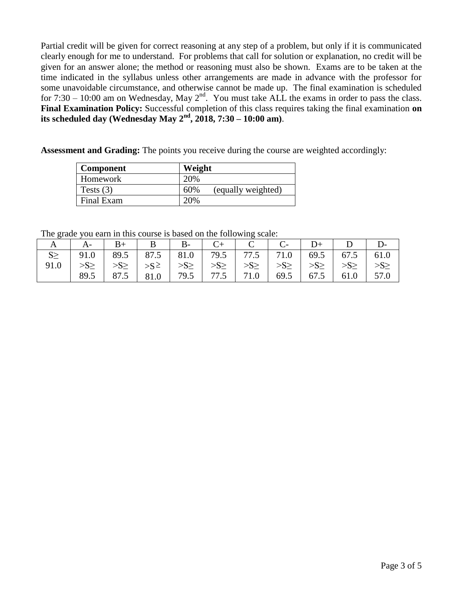Partial credit will be given for correct reasoning at any step of a problem, but only if it is communicated clearly enough for me to understand. For problems that call for solution or explanation, no credit will be given for an answer alone; the method or reasoning must also be shown. Exams are to be taken at the time indicated in the syllabus unless other arrangements are made in advance with the professor for some unavoidable circumstance, and otherwise cannot be made up. The final examination is scheduled for 7:30 – 10:00 am on Wednesday, May  $2^{nd}$ . You must take ALL the exams in order to pass the class. **Final Examination Policy:** Successful completion of this class requires taking the final examination **on its scheduled day (Wednesday May 2nd, 2018, 7:30 – 10:00 am)**.

**Assessment and Grading:** The points you receive during the course are weighted accordingly:

| <b>Component</b> | Weight                    |
|------------------|---------------------------|
| Homework         | 20%                       |
| Tests $(3)$      | 60%<br>(equally weighted) |
| Final Exam       | 20%                       |

The grade you earn in this course is based on the following scale:

|      | $A-$                                                                          |      | $B+$   B   B   C +   C   C   D +   D                          |  |  |  |  |
|------|-------------------------------------------------------------------------------|------|---------------------------------------------------------------|--|--|--|--|
|      | $S \ge$   91.0   89.5   87.5   81.0   79.5   77.5   71.0   69.5   67.5   61.0 |      |                                                               |  |  |  |  |
| 91.0 |                                                                               |      |                                                               |  |  |  |  |
|      | 89.5                                                                          | 87.5 | $\vert$ 81.0   79.5   77.5   71.0   69.5   67.5   61.0   57.0 |  |  |  |  |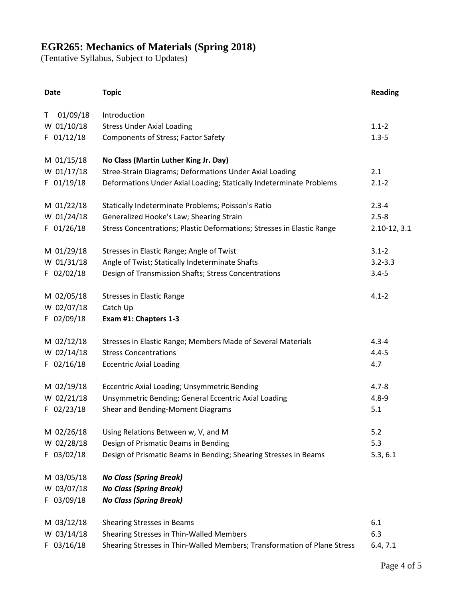## **EGR265: Mechanics of Materials (Spring 2018)**

(Tentative Syllabus, Subject to Updates)

| <b>Date</b> |              | <b>Topic</b>                                                             | <b>Reading</b>   |
|-------------|--------------|--------------------------------------------------------------------------|------------------|
| T.          | 01/09/18     | Introduction                                                             |                  |
|             | W 01/10/18   | <b>Stress Under Axial Loading</b>                                        | $1.1 - 2$        |
|             | F 01/12/18   | <b>Components of Stress; Factor Safety</b>                               | $1.3 - 5$        |
|             | M 01/15/18   | No Class (Martin Luther King Jr. Day)                                    |                  |
|             | W 01/17/18   | Stree-Strain Diagrams; Deformations Under Axial Loading                  | 2.1              |
|             | F 01/19/18   | Deformations Under Axial Loading; Statically Indeterminate Problems      | $2.1 - 2$        |
|             | M 01/22/18   | Statically Indeterminate Problems; Poisson's Ratio                       | $2.3 - 4$        |
|             | W 01/24/18   | Generalized Hooke's Law; Shearing Strain                                 | $2.5 - 8$        |
|             | F 01/26/18   | Stress Concentrations; Plastic Deformations; Stresses in Elastic Range   | $2.10 - 12, 3.1$ |
|             | M 01/29/18   | Stresses in Elastic Range; Angle of Twist                                | $3.1 - 2$        |
|             | W 01/31/18   | Angle of Twist; Statically Indeterminate Shafts                          | $3.2 - 3.3$      |
|             | $F$ 02/02/18 | Design of Transmission Shafts; Stress Concentrations                     | $3.4 - 5$        |
|             | M 02/05/18   | <b>Stresses in Elastic Range</b>                                         | $4.1 - 2$        |
|             | W 02/07/18   | Catch Up                                                                 |                  |
|             | F 02/09/18   | Exam #1: Chapters 1-3                                                    |                  |
|             | M 02/12/18   | Stresses in Elastic Range; Members Made of Several Materials             | $4.3 - 4$        |
|             | W 02/14/18   | <b>Stress Concentrations</b>                                             | $4.4 - 5$        |
|             | F 02/16/18   | <b>Eccentric Axial Loading</b>                                           | 4.7              |
|             | M 02/19/18   | Eccentric Axial Loading; Unsymmetric Bending                             | $4.7 - 8$        |
|             | W 02/21/18   | Unsymmetric Bending; General Eccentric Axial Loading                     | $4.8 - 9$        |
|             | $F$ 02/23/18 | Shear and Bending-Moment Diagrams                                        | 5.1              |
|             | M 02/26/18   | Using Relations Between w, V, and M                                      | 5.2              |
|             | W 02/28/18   | Design of Prismatic Beams in Bending                                     | 5.3              |
|             | F 03/02/18   | Design of Prismatic Beams in Bending; Shearing Stresses in Beams         | 5.3, 6.1         |
|             | M 03/05/18   | <b>No Class (Spring Break)</b>                                           |                  |
|             | W 03/07/18   | <b>No Class (Spring Break)</b>                                           |                  |
|             | F 03/09/18   | <b>No Class (Spring Break)</b>                                           |                  |
|             | M 03/12/18   | <b>Shearing Stresses in Beams</b>                                        | 6.1              |
|             | W 03/14/18   | Shearing Stresses in Thin-Walled Members                                 | 6.3              |
|             | $F$ 03/16/18 | Shearing Stresses in Thin-Walled Members; Transformation of Plane Stress | 6.4, 7.1         |